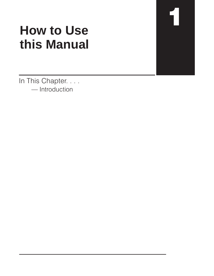## **How to Use this Manual**

 $\overline{1}$ 

In This Chapter. . . . — Introduction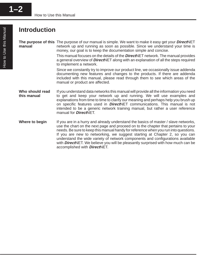## **Introduction**

**The purpose of this** The purpose of our manual is simple. We want to make it easy get your *Direct*NET network up and running as soon as possible. Since we understand your time is money, our goal is to keep the documentation simple and concise. **manual**

> This manual focuses on the details of the **Direct**NET network. The manual provides a general overview of **Direct**NET along with an explanation of all the steps required to implement a network.

> Since we constantly try to improve our product line, we occasionally issue addenda documenting new features and changes to the products. If there are addenda included with this manual, please read through them to see which areas of the manual or product are affected.

- If you understand data networks this manual will provide all the information you need to get and keep your network up and running. We will use examples and explanations from time to time to clarify our meaning and perhaps help you brush up on specific features used in **Direct**NET communications. This manual is not intended to be a generic network training manual, but rather a user reference manual for **Direct**NET. **Who should read this manual**
- If you are in a hurry and already understand the basics of master / slave networks, use the chart on the next page and proceed on to the chapter that pertains to your needs. Be sure to keep this manual handy for reference when you run into questions. If you are new to networking, we suggest starting at Chapter 2, so you can understand the wide variety of network components and configurations available with **Direct**NET. We believe you will be pleasantly surprised with how much can be accomplished with **Direct**NET. **Where to begin**

**1–2**